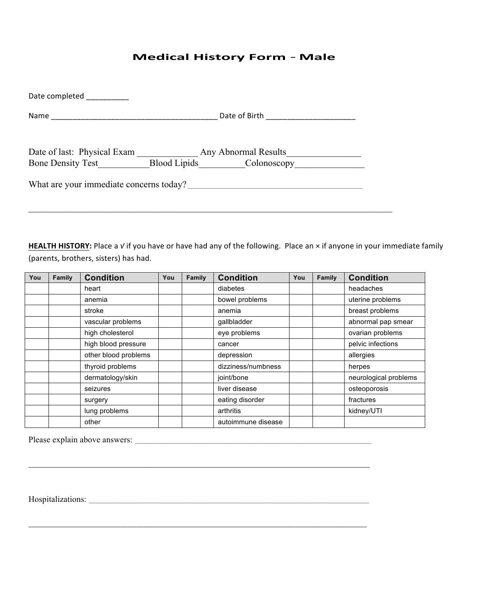## **Medical History Form** - **Male**

| Date completed                                                                                    |                                                  |  |
|---------------------------------------------------------------------------------------------------|--------------------------------------------------|--|
| Name<br>the control of the control of the control of the control of the control of the control of |                                                  |  |
| Date of last: Physical Exam<br><b>Bone Density Test</b>                                           | Any Abnormal Results<br>Blood Lipids Colonoscopy |  |
| What are your immediate concerns today?                                                           |                                                  |  |

 $\_$  , and the set of the set of the set of the set of the set of the set of the set of the set of the set of the set of the set of the set of the set of the set of the set of the set of the set of the set of the set of th

HEALTH HISTORY: Place a v if you have or have had any of the following. Place an × if anyone in your immediate family (parents, brothers, sisters) has had.

| You | Family | <b>Condition</b>     | You | Family | <b>Condition</b>   | You | Family | <b>Condition</b>      |
|-----|--------|----------------------|-----|--------|--------------------|-----|--------|-----------------------|
|     |        | heart                |     |        | diabetes           |     |        | headaches             |
|     |        | anemia               |     |        | bowel problems     |     |        | uterine problems      |
|     |        | stroke               |     |        | anemia             |     |        | breast problems       |
|     |        | vascular problems    |     |        | qallbladder        |     |        | abnormal pap smear    |
|     |        | high cholesterol     |     |        | eye problems       |     |        | ovarian problems      |
|     |        | high blood pressure  |     |        | cancer             |     |        | pelvic infections     |
|     |        | other blood problems |     |        | depression         |     |        | allergies             |
|     |        | thyroid problems     |     |        | dizziness/numbness |     |        | herpes                |
|     |        | dermatology/skin     |     |        | joint/bone         |     |        | neurological problems |
|     |        | seizures             |     |        | liver disease      |     |        | osteoporosis          |
|     |        | surgery              |     |        | eating disorder    |     |        | fractures             |
|     |        | lung problems        |     |        | arthritis          |     |        | kidney/UTI            |
|     |        | other                |     |        | autoimmune disease |     |        |                       |

\_\_\_\_\_\_\_\_\_\_\_\_\_\_\_\_\_\_\_\_\_\_\_\_\_\_\_\_\_\_\_\_\_\_\_\_\_\_\_\_\_\_\_\_\_\_\_\_\_\_\_\_\_\_\_\_\_\_\_\_\_\_\_\_\_\_\_\_\_\_\_\_\_\_\_\_\_\_\_\_\_\_\_\_\_\_\_\_\_\_\_\_\_\_\_\_\_\_\_\_\_\_\_\_\_\_\_\_\_\_

\_\_\_\_\_\_\_\_\_\_\_\_\_\_\_\_\_\_\_\_\_\_\_\_\_\_\_\_\_\_\_\_\_\_\_\_\_\_\_\_\_\_\_\_\_\_\_\_\_\_\_\_\_\_\_\_\_\_\_\_\_\_\_\_\_\_\_\_\_\_\_\_\_\_\_\_\_\_\_\_\_\_\_\_\_\_\_\_\_\_\_\_\_\_\_\_\_\_\_\_\_\_\_\_\_\_\_\_\_

Please explain above answers: \_\_\_\_\_\_\_\_\_\_\_\_\_\_\_\_\_\_\_\_\_\_\_\_\_\_\_\_\_\_\_\_\_\_\_\_\_\_\_\_\_\_\_\_\_\_\_\_\_\_\_\_\_\_\_\_\_\_\_\_\_\_\_\_\_\_\_\_\_\_\_\_\_\_\_\_

Hospitalizations: \_\_\_\_\_\_\_\_\_\_\_\_\_\_\_\_\_\_\_\_\_\_\_\_\_\_\_\_\_\_\_\_\_\_\_\_\_\_\_\_\_\_\_\_\_\_\_\_\_\_\_\_\_\_\_\_\_\_\_\_\_\_\_\_\_\_\_\_\_\_\_\_\_\_\_\_\_\_\_\_\_\_\_\_\_\_\_\_\_\_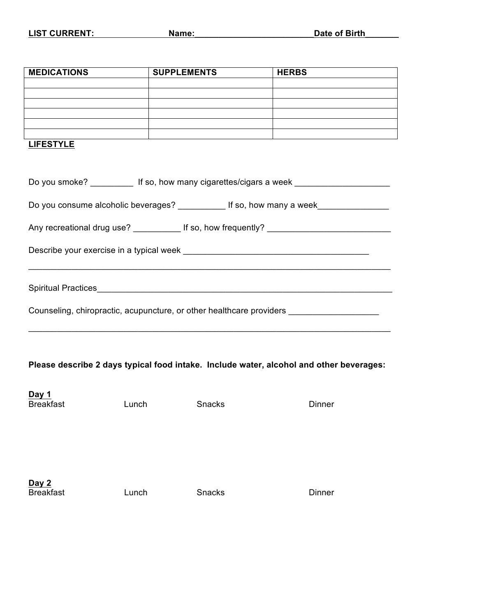| <b>MEDICATIONS</b>        | <b>SUPPLEMENTS</b> | <b>HERBS</b>                                                                                                         |
|---------------------------|--------------------|----------------------------------------------------------------------------------------------------------------------|
|                           |                    |                                                                                                                      |
|                           |                    |                                                                                                                      |
|                           |                    |                                                                                                                      |
|                           |                    | <u> 1989 - Andrea Santa Andrea Santa Andrea Santa Andrea Santa Andrea Santa Andrea Santa Andrea Santa Andrea San</u> |
|                           |                    |                                                                                                                      |
| <b>LIFESTYLE</b>          |                    |                                                                                                                      |
|                           |                    |                                                                                                                      |
|                           |                    | Do you smoke? _____________ If so, how many cigarettes/cigars a week __________________                              |
|                           |                    |                                                                                                                      |
|                           |                    | Do you consume alcoholic beverages? ___________ If so, how many a week___________                                    |
|                           |                    | Any recreational drug use? ______________ If so, how frequently? ___________________________________                 |
|                           |                    |                                                                                                                      |
|                           |                    |                                                                                                                      |
|                           |                    |                                                                                                                      |
|                           |                    |                                                                                                                      |
|                           |                    |                                                                                                                      |
|                           |                    | Counseling, chiropractic, acupuncture, or other healthcare providers __________________                              |
|                           |                    |                                                                                                                      |
|                           |                    |                                                                                                                      |
|                           |                    |                                                                                                                      |
|                           |                    | Please describe 2 days typical food intake. Include water, alcohol and other beverages:                              |
|                           |                    |                                                                                                                      |
| Day 1                     |                    |                                                                                                                      |
| <b>Breakfast</b><br>Lunch | Snacks             | <b>Dinner</b>                                                                                                        |
|                           |                    |                                                                                                                      |
|                           |                    |                                                                                                                      |
|                           |                    |                                                                                                                      |
|                           |                    |                                                                                                                      |
|                           |                    |                                                                                                                      |
| Day 2                     |                    |                                                                                                                      |
| <b>Breakfast</b><br>Lunch | Snacks             | Dinner                                                                                                               |